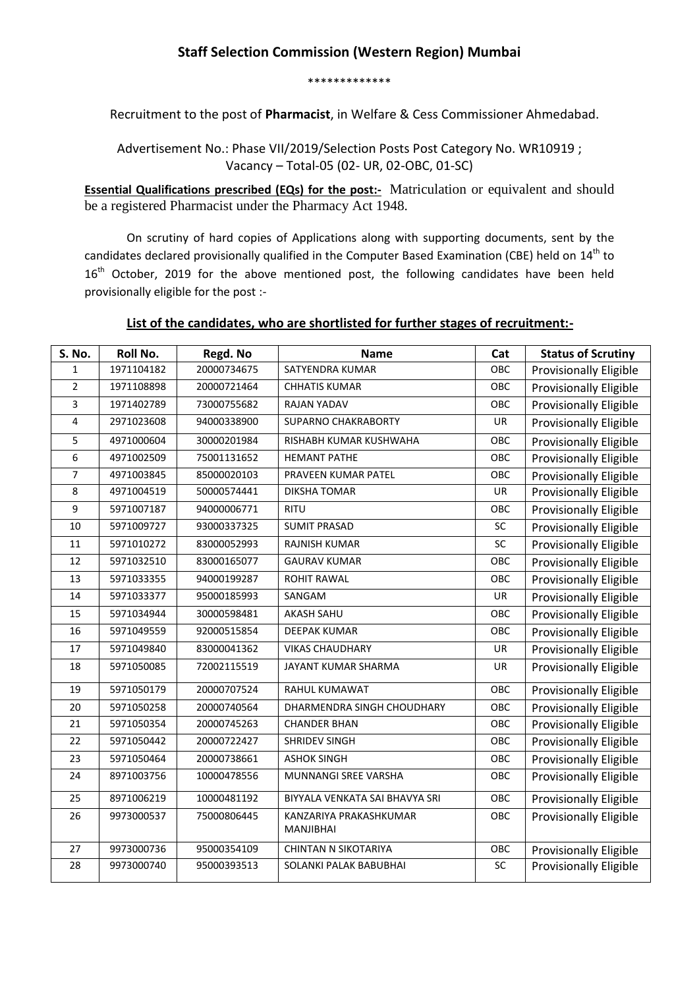## **Staff Selection Commission (Western Region) Mumbai**

\*\*\*\*\*\*\*\*\*\*\*\*\*

Recruitment to the post of **Pharmacist**, in Welfare & Cess Commissioner Ahmedabad.

Advertisement No.: Phase VII/2019/Selection Posts Post Category No. WR10919 ; Vacancy – Total-05 (02- UR, 02-OBC, 01-SC)

**Essential Qualifications prescribed (EQs) for the post:-** Matriculation or equivalent and should be a registered Pharmacist under the Pharmacy Act 1948.

On scrutiny of hard copies of Applications along with supporting documents, sent by the candidates declared provisionally qualified in the Computer Based Examination (CBE) held on 14<sup>th</sup> to 16<sup>th</sup> October, 2019 for the above mentioned post, the following candidates have been held provisionally eligible for the post :-

## **List of the candidates, who are shortlisted for further stages of recruitment:-**

| <b>S. No.</b>  | <b>Roll No.</b> | Regd. No    | <b>Name</b>                         | Cat | <b>Status of Scrutiny</b>     |
|----------------|-----------------|-------------|-------------------------------------|-----|-------------------------------|
| $\mathbf{1}$   | 1971104182      | 20000734675 | SATYENDRA KUMAR                     | OBC | Provisionally Eligible        |
| $\overline{2}$ | 1971108898      | 20000721464 | <b>CHHATIS KUMAR</b>                | OBC | <b>Provisionally Eligible</b> |
| 3              | 1971402789      | 73000755682 | <b>RAJAN YADAV</b>                  | OBC | Provisionally Eligible        |
| 4              | 2971023608      | 94000338900 | <b>SUPARNO CHAKRABORTY</b>          | UR  | <b>Provisionally Eligible</b> |
| 5              | 4971000604      | 30000201984 | RISHABH KUMAR KUSHWAHA              | OBC | Provisionally Eligible        |
| 6              | 4971002509      | 75001131652 | <b>HEMANT PATHE</b>                 | OBC | <b>Provisionally Eligible</b> |
| $\overline{7}$ | 4971003845      | 85000020103 | PRAVEEN KUMAR PATEL                 | OBC | Provisionally Eligible        |
| 8              | 4971004519      | 50000574441 | <b>DIKSHA TOMAR</b>                 | UR  | Provisionally Eligible        |
| 9              | 5971007187      | 94000006771 | <b>RITU</b>                         | OBC | <b>Provisionally Eligible</b> |
| 10             | 5971009727      | 93000337325 | <b>SUMIT PRASAD</b>                 | SC  | Provisionally Eligible        |
| 11             | 5971010272      | 83000052993 | <b>RAJNISH KUMAR</b>                | SC  | Provisionally Eligible        |
| 12             | 5971032510      | 83000165077 | <b>GAURAV KUMAR</b>                 | OBC | Provisionally Eligible        |
| 13             | 5971033355      | 94000199287 | <b>ROHIT RAWAL</b>                  | OBC | <b>Provisionally Eligible</b> |
| 14             | 5971033377      | 95000185993 | SANGAM                              | UR  | <b>Provisionally Eligible</b> |
| 15             | 5971034944      | 30000598481 | <b>AKASH SAHU</b>                   | OBC | <b>Provisionally Eligible</b> |
| 16             | 5971049559      | 92000515854 | <b>DEEPAK KUMAR</b>                 | OBC | <b>Provisionally Eligible</b> |
| 17             | 5971049840      | 83000041362 | <b>VIKAS CHAUDHARY</b>              | UR  | Provisionally Eligible        |
| 18             | 5971050085      | 72002115519 | <b>JAYANT KUMAR SHARMA</b>          | UR  | Provisionally Eligible        |
| 19             | 5971050179      | 20000707524 | RAHUL KUMAWAT                       | OBC | Provisionally Eligible        |
| 20             | 5971050258      | 20000740564 | DHARMENDRA SINGH CHOUDHARY          | OBC | Provisionally Eligible        |
| 21             | 5971050354      | 20000745263 | <b>CHANDER BHAN</b>                 | OBC | Provisionally Eligible        |
| 22             | 5971050442      | 20000722427 | <b>SHRIDEV SINGH</b>                | OBC | Provisionally Eligible        |
| 23             | 5971050464      | 20000738661 | <b>ASHOK SINGH</b>                  | OBC | <b>Provisionally Eligible</b> |
| 24             | 8971003756      | 10000478556 | MUNNANGI SREE VARSHA                | OBC | Provisionally Eligible        |
| 25             | 8971006219      | 10000481192 | BIYYALA VENKATA SAI BHAVYA SRI      | OBC | Provisionally Eligible        |
| 26             | 9973000537      | 75000806445 | KANZARIYA PRAKASHKUMAR<br>MANJIBHAI | OBC | <b>Provisionally Eligible</b> |
| 27             | 9973000736      | 95000354109 | <b>CHINTAN N SIKOTARIYA</b>         | OBC | Provisionally Eligible        |
| 28             | 9973000740      | 95000393513 | SOLANKI PALAK BABUBHAI              | SC  | <b>Provisionally Eligible</b> |